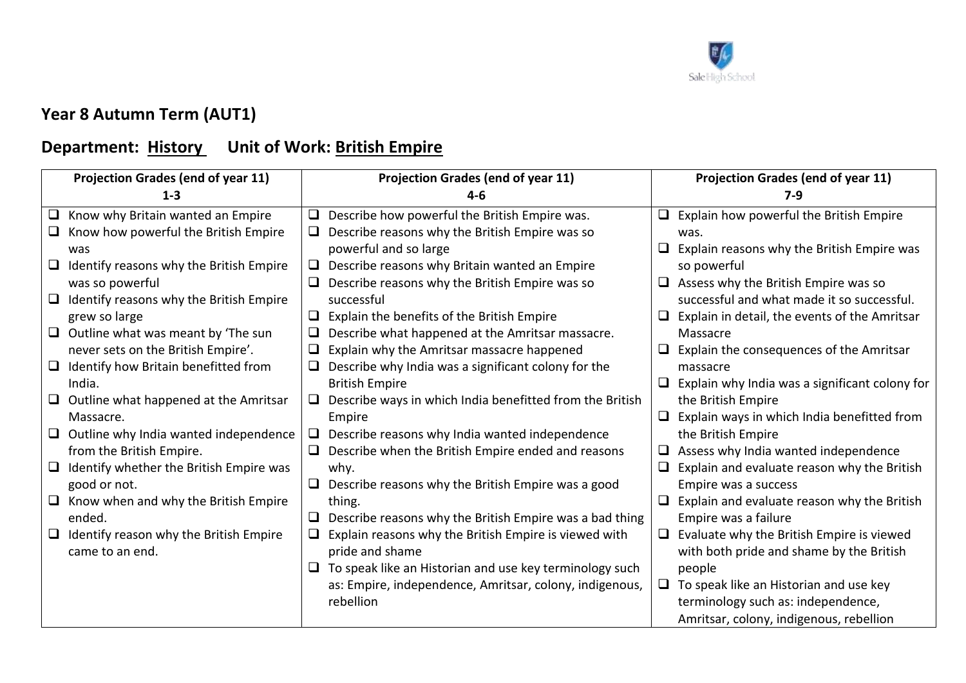

## **Year 8 Autumn Term (AUT1)**

## **Department: History Unit of Work: British Empire**

| <b>Projection Grades (end of year 11)</b> |                                                | <b>Projection Grades (end of year 11)</b> |                                                            | <b>Projection Grades (end of year 11)</b> |                                                  |
|-------------------------------------------|------------------------------------------------|-------------------------------------------|------------------------------------------------------------|-------------------------------------------|--------------------------------------------------|
|                                           | $1 - 3$                                        |                                           | 4-6                                                        |                                           | $7-9$                                            |
|                                           | $\Box$ Know why Britain wanted an Empire       | ❏.                                        | Describe how powerful the British Empire was.              |                                           | Explain how powerful the British Empire          |
|                                           | $\Box$ Know how powerful the British Empire    | u.                                        | Describe reasons why the British Empire was so             |                                           | was.                                             |
|                                           | was                                            |                                           | powerful and so large                                      |                                           | Explain reasons why the British Empire was       |
|                                           | $\Box$ Identify reasons why the British Empire | $\Box$                                    | Describe reasons why Britain wanted an Empire              |                                           | so powerful                                      |
|                                           | was so powerful                                | ⊔                                         | Describe reasons why the British Empire was so             |                                           | $\Box$ Assess why the British Empire was so      |
|                                           | $\Box$ Identify reasons why the British Empire |                                           | successful                                                 |                                           | successful and what made it so successful.       |
|                                           | grew so large                                  | ⊔                                         | Explain the benefits of the British Empire                 |                                           | Explain in detail, the events of the Amritsar    |
|                                           | $\Box$ Outline what was meant by 'The sun      |                                           | Describe what happened at the Amritsar massacre.           |                                           | Massacre                                         |
|                                           | never sets on the British Empire'.             | ❏                                         | Explain why the Amritsar massacre happened                 |                                           | Explain the consequences of the Amritsar         |
|                                           | $\Box$ Identify how Britain benefitted from    |                                           | $\Box$ Describe why India was a significant colony for the |                                           | massacre                                         |
|                                           | India.                                         |                                           | <b>British Empire</b>                                      |                                           | Explain why India was a significant colony for   |
|                                           | $\Box$ Outline what happened at the Amritsar   | ⊔                                         | Describe ways in which India benefitted from the British   |                                           | the British Empire                               |
|                                           | Massacre.                                      |                                           | Empire                                                     |                                           | Explain ways in which India benefitted from      |
|                                           | $\Box$ Outline why India wanted independence   | $\Box$                                    | Describe reasons why India wanted independence             |                                           | the British Empire                               |
|                                           | from the British Empire.                       |                                           | Describe when the British Empire ended and reasons         |                                           | Assess why India wanted independence             |
|                                           | $\Box$ Identify whether the British Empire was |                                           | why.                                                       |                                           | Explain and evaluate reason why the British      |
|                                           | good or not.                                   | $\Box$                                    | Describe reasons why the British Empire was a good         |                                           | Empire was a success                             |
|                                           | $\Box$ Know when and why the British Empire    |                                           | thing.                                                     |                                           | Explain and evaluate reason why the British      |
|                                           | ended.                                         |                                           | Describe reasons why the British Empire was a bad thing    |                                           | Empire was a failure                             |
|                                           | $\Box$ Identify reason why the British Empire  |                                           | Explain reasons why the British Empire is viewed with      |                                           | $\Box$ Evaluate why the British Empire is viewed |
|                                           | came to an end.                                |                                           | pride and shame                                            |                                           | with both pride and shame by the British         |
|                                           |                                                | ⊔                                         | To speak like an Historian and use key terminology such    |                                           | people                                           |
|                                           |                                                |                                           | as: Empire, independence, Amritsar, colony, indigenous,    |                                           | $\Box$ To speak like an Historian and use key    |
|                                           |                                                |                                           | rebellion                                                  |                                           | terminology such as: independence,               |
|                                           |                                                |                                           |                                                            |                                           | Amritsar, colony, indigenous, rebellion          |